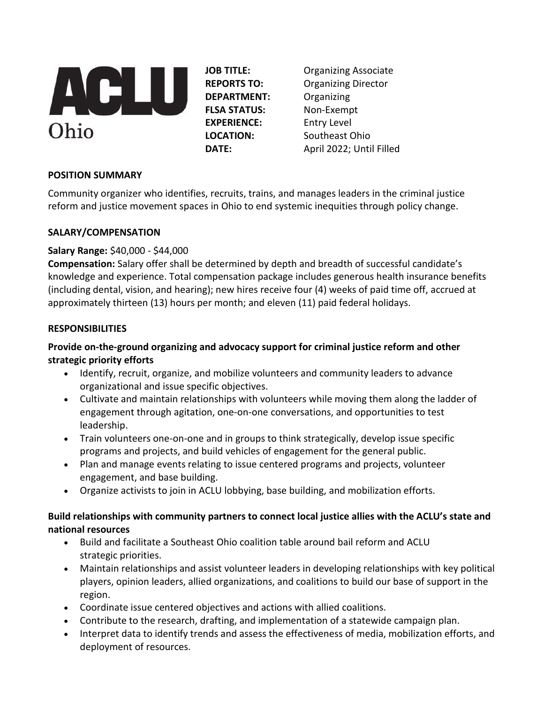

**DEPARTMENT:** Organizing **FLSA STATUS:** Non-Exempt **EXPERIENCE:** Entry Level

**JOB TITLE:** Organizing Associate **REPORTS TO:** Organizing Director **LOCATION:** Southeast Ohio **DATE:** April 2022; Until Filled

# **POSITION SUMMARY**

Community organizer who identifies, recruits, trains, and manages leaders in the criminal justice reform and justice movement spaces in Ohio to end systemic inequities through policy change.

# **SALARY/COMPENSATION**

# **Salary Range:** \$40,000 - \$44,000

**Compensation:** Salary offer shall be determined by depth and breadth of successful candidate's knowledge and experience. Total compensation package includes generous health insurance benefits (including dental, vision, and hearing); new hires receive four (4) weeks of paid time off, accrued at approximately thirteen (13) hours per month; and eleven (11) paid federal holidays.

# **RESPONSIBILITIES**

# **Provide on-the-ground organizing and advocacy support for criminal justice reform and other strategic priority efforts**

- Identify, recruit, organize, and mobilize volunteers and community leaders to advance organizational and issue specific objectives.
- Cultivate and maintain relationships with volunteers while moving them along the ladder of engagement through agitation, one-on-one conversations, and opportunities to test leadership.
- Train volunteers one-on-one and in groups to think strategically, develop issue specific programs and projects, and build vehicles of engagement for the general public.
- Plan and manage events relating to issue centered programs and projects, volunteer engagement, and base building.
- Organize activists to join in ACLU lobbying, base building, and mobilization efforts.

# **Build relationships with community partners to connect local justice allies with the ACLU's state and national resources**

- Build and facilitate a Southeast Ohio coalition table around bail reform and ACLU strategic priorities.
- Maintain relationships and assist volunteer leaders in developing relationships with key political players, opinion leaders, allied organizations, and coalitions to build our base of support in the region.
- Coordinate issue centered objectives and actions with allied coalitions.
- Contribute to the research, drafting, and implementation of a statewide campaign plan.
- Interpret data to identify trends and assess the effectiveness of media, mobilization efforts, and deployment of resources.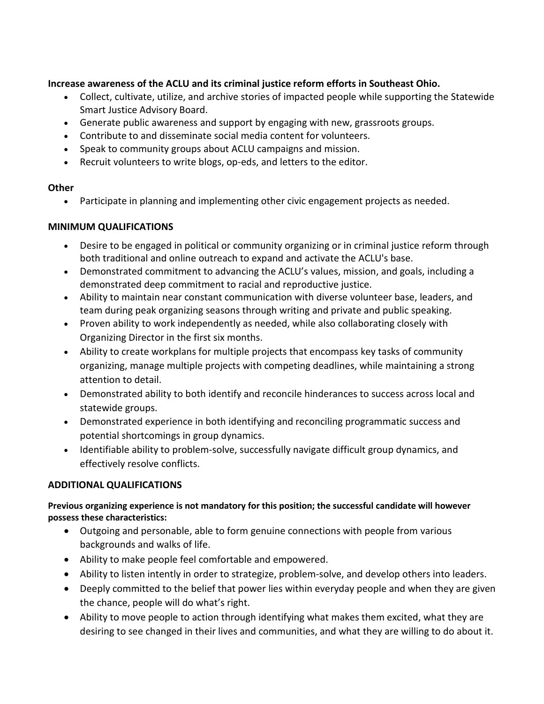### **Increase awareness of the ACLU and its criminal justice reform efforts in Southeast Ohio.**

- Collect, cultivate, utilize, and archive stories of impacted people while supporting the Statewide Smart Justice Advisory Board.
- Generate public awareness and support by engaging with new, grassroots groups.
- Contribute to and disseminate social media content for volunteers.
- Speak to community groups about ACLU campaigns and mission.
- Recruit volunteers to write blogs, op-eds, and letters to the editor.

#### **Other**

• Participate in planning and implementing other civic engagement projects as needed.

### **MINIMUM QUALIFICATIONS**

- Desire to be engaged in political or community organizing or in criminal justice reform through both traditional and online outreach to expand and activate the ACLU's base.
- Demonstrated commitment to advancing the ACLU's values, mission, and goals, including a demonstrated deep commitment to racial and reproductive justice.
- Ability to maintain near constant communication with diverse volunteer base, leaders, and team during peak organizing seasons through writing and private and public speaking.
- Proven ability to work independently as needed, while also collaborating closely with Organizing Director in the first six months.
- Ability to create workplans for multiple projects that encompass key tasks of community organizing, manage multiple projects with competing deadlines, while maintaining a strong attention to detail.
- Demonstrated ability to both identify and reconcile hinderances to success across local and statewide groups.
- Demonstrated experience in both identifying and reconciling programmatic success and potential shortcomings in group dynamics.
- Identifiable ability to problem-solve, successfully navigate difficult group dynamics, and effectively resolve conflicts.

### **ADDITIONAL QUALIFICATIONS**

### **Previous organizing experience is not mandatory for this position; the successful candidate will however possess these characteristics:**

- Outgoing and personable, able to form genuine connections with people from various backgrounds and walks of life.
- Ability to make people feel comfortable and empowered.
- Ability to listen intently in order to strategize, problem-solve, and develop others into leaders.
- Deeply committed to the belief that power lies within everyday people and when they are given the chance, people will do what's right.
- Ability to move people to action through identifying what makes them excited, what they are desiring to see changed in their lives and communities, and what they are willing to do about it.